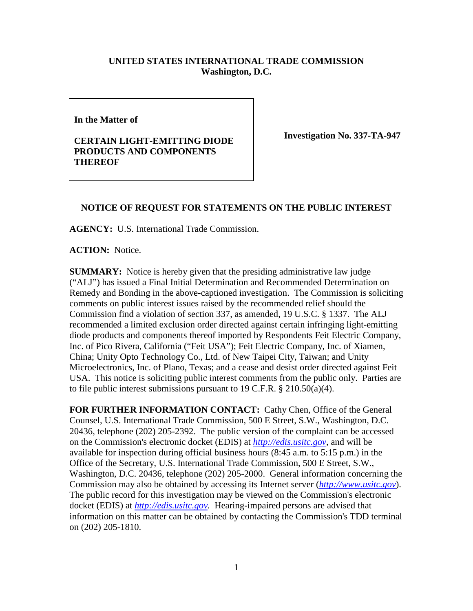## **UNITED STATES INTERNATIONAL TRADE COMMISSION Washington, D.C.**

**In the Matter of**

## **CERTAIN LIGHT-EMITTING DIODE PRODUCTS AND COMPONENTS THEREOF**

**Investigation No. 337-TA-947**

## **NOTICE OF REQUEST FOR STATEMENTS ON THE PUBLIC INTEREST**

**AGENCY:** U.S. International Trade Commission.

**ACTION:** Notice.

**SUMMARY:** Notice is hereby given that the presiding administrative law judge ("ALJ") has issued a Final Initial Determination and Recommended Determination on Remedy and Bonding in the above-captioned investigation. The Commission is soliciting comments on public interest issues raised by the recommended relief should the Commission find a violation of section 337, as amended, 19 U.S.C. § 1337. The ALJ recommended a limited exclusion order directed against certain infringing light-emitting diode products and components thereof imported by Respondents Feit Electric Company, Inc. of Pico Rivera, California ("Feit USA"); Feit Electric Company, Inc. of Xiamen, China; Unity Opto Technology Co., Ltd. of New Taipei City, Taiwan; and Unity Microelectronics, Inc. of Plano, Texas; and a cease and desist order directed against Feit USA. This notice is soliciting public interest comments from the public only. Parties are to file public interest submissions pursuant to 19 C.F.R.  $\S 210.50(a)(4)$ .

**FOR FURTHER INFORMATION CONTACT:** Cathy Chen, Office of the General Counsel, U.S. International Trade Commission, 500 E Street, S.W., Washington, D.C. 20436, telephone (202) 205-2392. The public version of the complaint can be accessed on the Commission's electronic docket (EDIS) at *[http://edis.usitc.gov](http://edis.usitc.gov/)*, and will be available for inspection during official business hours (8:45 a.m. to 5:15 p.m.) in the Office of the Secretary, U.S. International Trade Commission, 500 E Street, S.W., Washington, D.C. 20436, telephone (202) 205-2000. General information concerning the Commission may also be obtained by accessing its Internet server (*[http://www.usitc.gov](http://www.usitc.gov/)*). The public record for this investigation may be viewed on the Commission's electronic docket (EDIS) at *[http://edis.usitc.gov.](http://edis.usitc.gov/)* Hearing-impaired persons are advised that information on this matter can be obtained by contacting the Commission's TDD terminal on (202) 205-1810.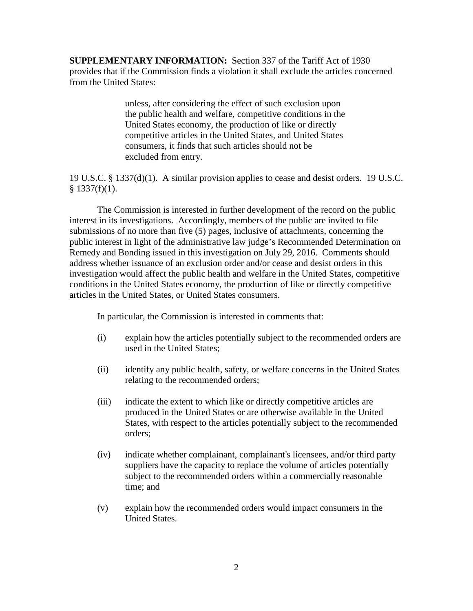**SUPPLEMENTARY INFORMATION:** Section 337 of the Tariff Act of 1930 provides that if the Commission finds a violation it shall exclude the articles concerned from the United States:

> unless, after considering the effect of such exclusion upon the public health and welfare, competitive conditions in the United States economy, the production of like or directly competitive articles in the United States, and United States consumers, it finds that such articles should not be excluded from entry.

19 U.S.C. § 1337(d)(1). A similar provision applies to cease and desist orders. 19 U.S.C.  $§$  1337(f)(1).

The Commission is interested in further development of the record on the public interest in its investigations. Accordingly, members of the public are invited to file submissions of no more than five (5) pages, inclusive of attachments, concerning the public interest in light of the administrative law judge's Recommended Determination on Remedy and Bonding issued in this investigation on July 29, 2016. Comments should address whether issuance of an exclusion order and/or cease and desist orders in this investigation would affect the public health and welfare in the United States, competitive conditions in the United States economy, the production of like or directly competitive articles in the United States, or United States consumers.

In particular, the Commission is interested in comments that:

- (i) explain how the articles potentially subject to the recommended orders are used in the United States;
- (ii) identify any public health, safety, or welfare concerns in the United States relating to the recommended orders;
- (iii) indicate the extent to which like or directly competitive articles are produced in the United States or are otherwise available in the United States, with respect to the articles potentially subject to the recommended orders;
- (iv) indicate whether complainant, complainant's licensees, and/or third party suppliers have the capacity to replace the volume of articles potentially subject to the recommended orders within a commercially reasonable time; and
- (v) explain how the recommended orders would impact consumers in the United States.